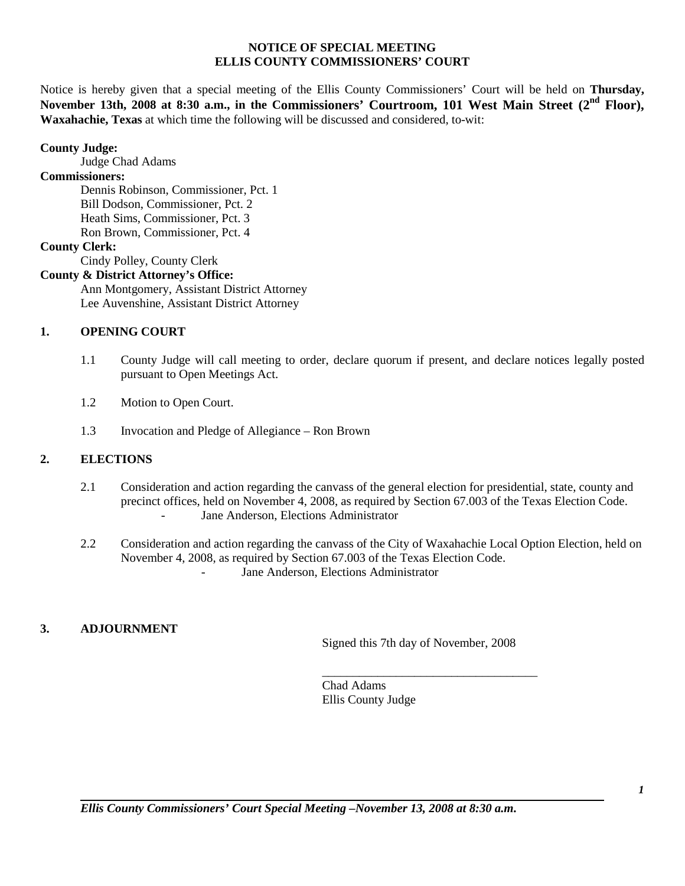## **NOTICE OF SPECIAL MEETING ELLIS COUNTY COMMISSIONERS' COURT**

Notice is hereby given that a special meeting of the Ellis County Commissioners' Court will be held on **Thursday, November 13th, 2008 at 8:30 a.m., in the Commissioners' Courtroom, 101 West Main Street (2nd Floor), Waxahachie, Texas** at which time the following will be discussed and considered, to-wit:

#### **County Judge:**

Judge Chad Adams

# **Commissioners:**

Dennis Robinson, Commissioner, Pct. 1 Bill Dodson, Commissioner, Pct. 2 Heath Sims, Commissioner, Pct. 3 Ron Brown, Commissioner, Pct. 4

# **County Clerk:**

Cindy Polley, County Clerk

#### **County & District Attorney's Office:**

Ann Montgomery, Assistant District Attorney Lee Auvenshine, Assistant District Attorney

## **1. OPENING COURT**

- 1.1 County Judge will call meeting to order, declare quorum if present, and declare notices legally posted pursuant to Open Meetings Act.
- 1.2 Motion to Open Court.
- 1.3 Invocation and Pledge of Allegiance Ron Brown

# **2. ELECTIONS**

- 2.1 Consideration and action regarding the canvass of the general election for presidential, state, county and precinct offices, held on November 4, 2008, as required by Section 67.003 of the Texas Election Code. Jane Anderson, Elections Administrator
- 2.2 Consideration and action regarding the canvass of the City of Waxahachie Local Option Election, held on November 4, 2008, as required by Section 67.003 of the Texas Election Code. Jane Anderson, Elections Administrator

## **3. ADJOURNMENT**

Signed this 7th day of November, 2008

\_\_\_\_\_\_\_\_\_\_\_\_\_\_\_\_\_\_\_\_\_\_\_\_\_\_\_\_\_\_\_\_\_\_\_

Chad Adams Ellis County Judge